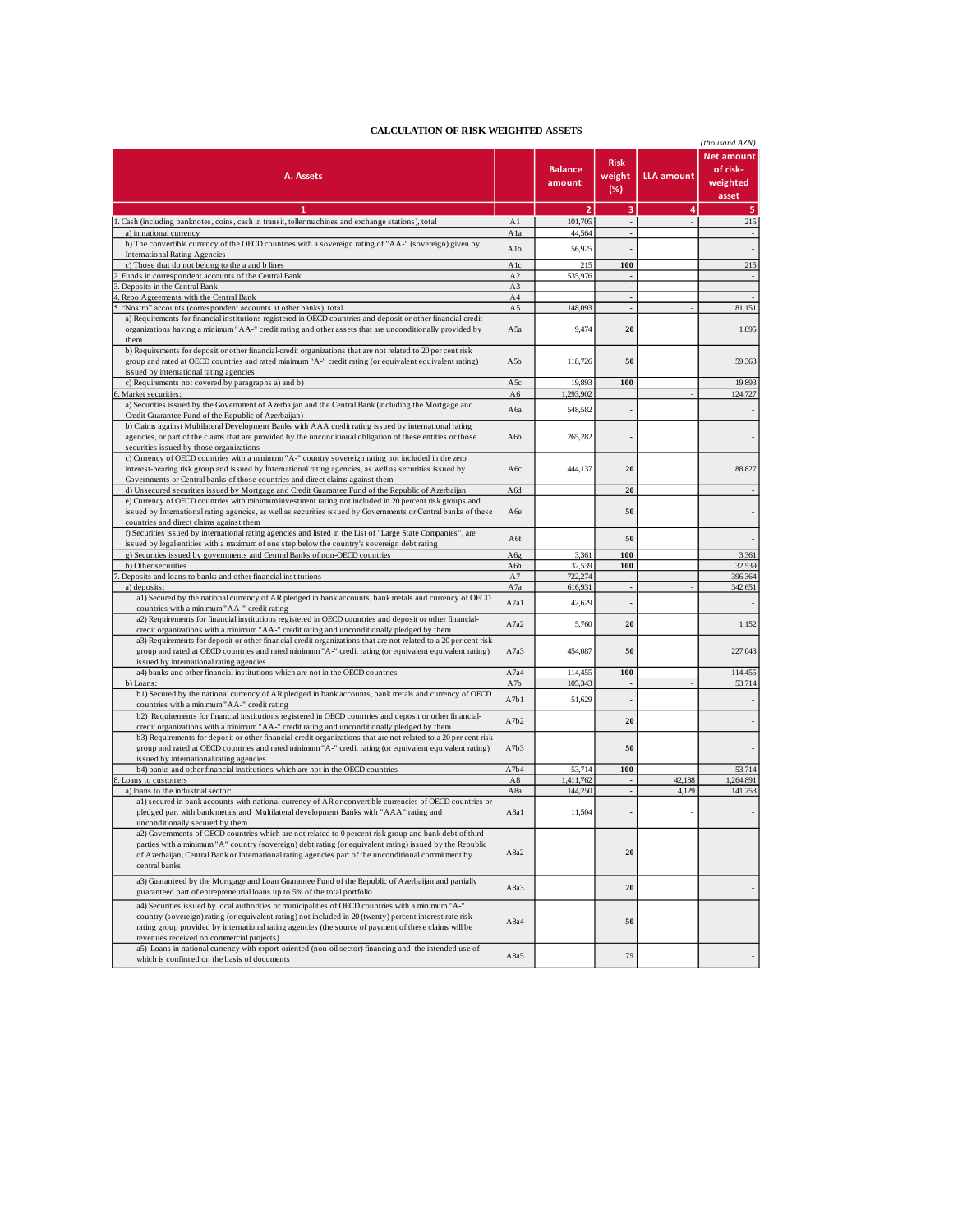| CALCOLATION OF KISK WEIGHTED ASSETS                                                                                                                                                                                                                                                                                                                                  |                  |                          |                              |                   | (thousand AZN)                                     |
|----------------------------------------------------------------------------------------------------------------------------------------------------------------------------------------------------------------------------------------------------------------------------------------------------------------------------------------------------------------------|------------------|--------------------------|------------------------------|-------------------|----------------------------------------------------|
| A. Assets                                                                                                                                                                                                                                                                                                                                                            |                  | <b>Balance</b><br>amount | <b>Risk</b><br>weight<br>(%) | <b>LLA amount</b> | <b>Net amount</b><br>of risk-<br>weighted<br>asset |
| 1                                                                                                                                                                                                                                                                                                                                                                    |                  | $\overline{2}$           | 3                            | 4                 | 5                                                  |
| Cash (including banknotes, coins, cash in transit, teller machines and exchange stations), total                                                                                                                                                                                                                                                                     | A1               | 101,705                  | $\overline{\phantom{a}}$     | ÷,                | 215                                                |
| a) in national currency                                                                                                                                                                                                                                                                                                                                              | Ala              | 44,564                   |                              |                   |                                                    |
| b) The convertible currency of the OECD countries with a sovereign rating of "AA-" (sovereign) given by                                                                                                                                                                                                                                                              | A <sub>1</sub> b | 56,925                   |                              |                   |                                                    |
| <b>International Rating Agencies</b>                                                                                                                                                                                                                                                                                                                                 |                  |                          |                              |                   |                                                    |
| c) Those that do not belong to the a and b lines                                                                                                                                                                                                                                                                                                                     | Alc<br>A2        | 215<br>535,976           | 100                          |                   | 215                                                |
| Funds in correspondent accounts of the Central Bank<br>Deposits in the Central Bank                                                                                                                                                                                                                                                                                  | A3               |                          | $\blacksquare$               |                   |                                                    |
| Repo Agreements with the Central Bank                                                                                                                                                                                                                                                                                                                                | A4               |                          | ÷.                           |                   |                                                    |
| "Nostro" accounts (correspondent accounts at other banks), total                                                                                                                                                                                                                                                                                                     | A5               | 148,093                  |                              |                   | 81,151                                             |
| a) Requirements for financial institutions registered in OECD countries and deposit or other financial-credit<br>organizations having a minimum "AA-" credit rating and other assets that are unconditionally provided by<br>them                                                                                                                                    | A5a              | 9,474                    | 20                           |                   | 1,895                                              |
| b) Requirements for deposit or other financial-credit organizations that are not related to 20 per cent risk<br>group and rated at OECD countries and rated minimum "A-" credit rating (or equivalent equivalent rating)<br>issued by international rating agencies                                                                                                  | A5b              | 118,726                  | 50                           |                   | 59,363                                             |
| c) Requirements not covered by paragraphs a) and b)                                                                                                                                                                                                                                                                                                                  | A5c              | 19,893                   | 100                          |                   | 19,893                                             |
| Market securities:                                                                                                                                                                                                                                                                                                                                                   | A6               | 1,293,902                |                              |                   | 124,727                                            |
| a) Securities issued by the Government of Azerbaijan and the Central Bank (including the Mortgage and<br>Credit Guarantee Fund of the Republic of Azerbaijan)<br>b) Claims against Multilateral Development Banks with AAA credit rating issued by international rating                                                                                              | A 6a             | 548,582                  |                              |                   |                                                    |
| agencies, or part of the claims that are provided by the unconditional obligation of these entities or those<br>securities issued by those organizations                                                                                                                                                                                                             | A6b              | 265,282                  |                              |                   |                                                    |
| c) Currency of OECD countries with a minimum "A-" country sovereign rating not included in the zero<br>interest-bearing risk group and issued by International rating agencies, as well as securities issued by<br>Governments or Central banks of those countries and direct claims against them                                                                    | A6c              | 444,137                  | 20                           |                   | 88,827                                             |
| d) Unsecured securities issued by Mortgage and Credit Guarantee Fund of the Republic of Azerbaijan                                                                                                                                                                                                                                                                   | A6d              |                          | 20                           |                   |                                                    |
| e) Currency of OECD countries with minimum investment rating not included in 20 percent risk groups and<br>issued by International rating agencies, as well as securities issued by Governments or Central banks of these<br>countries and direct claims against them                                                                                                | A 6e             |                          | 50                           |                   |                                                    |
| f) Securities issued by international rating agencies and listed in the List of "Large State Companies", are                                                                                                                                                                                                                                                         |                  |                          |                              |                   |                                                    |
| issued by legal entities with a maximum of one step below the country's sovereign debt rating                                                                                                                                                                                                                                                                        | A6f              |                          | 50                           |                   |                                                    |
| g) Securities issued by governments and Central Banks of non-OECD countries                                                                                                                                                                                                                                                                                          | A6g              | 3,361                    | 100                          |                   | 3,361                                              |
| h) Other securities                                                                                                                                                                                                                                                                                                                                                  | A6h              | 32,539                   | 100                          |                   | 32,539                                             |
| Deposits and loans to banks and other financial institutions                                                                                                                                                                                                                                                                                                         | A7               | 722,274                  | $\overline{\phantom{a}}$     |                   | 396,364                                            |
| a) deposits:                                                                                                                                                                                                                                                                                                                                                         | A7a              | 616,931                  |                              |                   | 342,651                                            |
| a1) Secured by the national currency of AR pledged in bank accounts, bank metals and currency of OECD<br>countries with a minimum "AA-" credit rating<br>a2) Requirements for financial institutions registered in OECD countries and deposit or other financial-                                                                                                    | A7a1             | 42,629                   |                              |                   |                                                    |
| credit organizations with a minimum "AA-" credit rating and unconditionally pledged by them<br>a3) Requirements for deposit or other financial-credit organizations that are not related to a 20 per cent risk                                                                                                                                                       | A7a2             | 5,760                    | 20                           |                   | 1,152                                              |
| group and rated at OECD countries and rated minimum "A-" credit rating (or equivalent equivalent rating)<br>issued by international rating agencies                                                                                                                                                                                                                  | A7a3             | 454,087                  | 50                           |                   | 227,043                                            |
| a4) banks and other financial institutions which are not in the OECD countries                                                                                                                                                                                                                                                                                       | A7a4             | 114,455                  | 100                          |                   | 114,455                                            |
| b) Loans:                                                                                                                                                                                                                                                                                                                                                            | A7b              | 105,343                  |                              |                   | 53,714                                             |
| b1) Secured by the national currency of AR pledged in bank accounts, bank metals and currency of OECD<br>countries with a minimum "AA-" credit rating                                                                                                                                                                                                                | A7b1             | 51,629                   |                              |                   |                                                    |
| b2) Requirements for financial institutions registered in OECD countries and deposit or other financial-<br>credit organizations with a minimum "AA-" credit rating and unconditionally pledged by them<br>b3) Requirements for deposit or other financial-credit organizations that are not related to a 20 per cent risk                                           | A7b2             |                          | 20                           |                   |                                                    |
| group and rated at OECD countries and rated minimum "A-" credit rating (or equivalent equivalent rating)<br>issued by international rating agencies                                                                                                                                                                                                                  | A7b3             |                          | 50                           |                   |                                                    |
| b4) banks and other financial institutions which are not in the OECD countries                                                                                                                                                                                                                                                                                       | A7b4             | 53,714                   | 100                          |                   | 53,714                                             |
| 8. Loans to customers                                                                                                                                                                                                                                                                                                                                                | A8               | 1.411.762                |                              | 42,188            | 1,264,891                                          |
| a) loans to the industrial sector:                                                                                                                                                                                                                                                                                                                                   | A8a              | 144,250                  | $\blacksquare$               | 4,129             | 141,253                                            |
| a1) secured in bank accounts with national currency of AR or convertible currencies of OECD countries or<br>pledged part with bank metals and Multilateral development Banks with "AAA" rating and<br>unconditionally secured by them                                                                                                                                | A8a1             | 11,504                   |                              |                   |                                                    |
| a2) Governments of OECD countries which are not related to 0 percent risk group and bank debt of third<br>parties with a minimum "A" country (sovereign) debt rating (or equivalent rating) issued by the Republic<br>of Azerbaijan, Central Bank or International rating agencies part of the unconditional commitment by<br>central banks                          | A8a2             |                          | 20                           |                   |                                                    |
| a3) Guaranteed by the Mortgage and Loan Guarantee Fund of the Republic of Azerbaijan and partially<br>guaranteed part of entrepreneurial loans up to 5% of the total portfolio                                                                                                                                                                                       | A8a3             |                          | 20                           |                   |                                                    |
| a4) Securities issued by local authorities or municipalities of OECD countries with a minimum "A-"<br>country (sovereign) rating (or equivalent rating) not included in 20 (twenty) percent interest rate risk<br>rating group provided by international rating agencies (the source of payment of these claims will be<br>revenues received on commercial projects) | A8a4             |                          | 50                           |                   |                                                    |
| a5) Loans in national currency with export-oriented (non-oil sector) financing and the intended use of<br>which is confirmed on the basis of documents                                                                                                                                                                                                               | A8a5             |                          | 75                           |                   |                                                    |

## **CALCULATION OF RISK WEIGHTED ASSETS**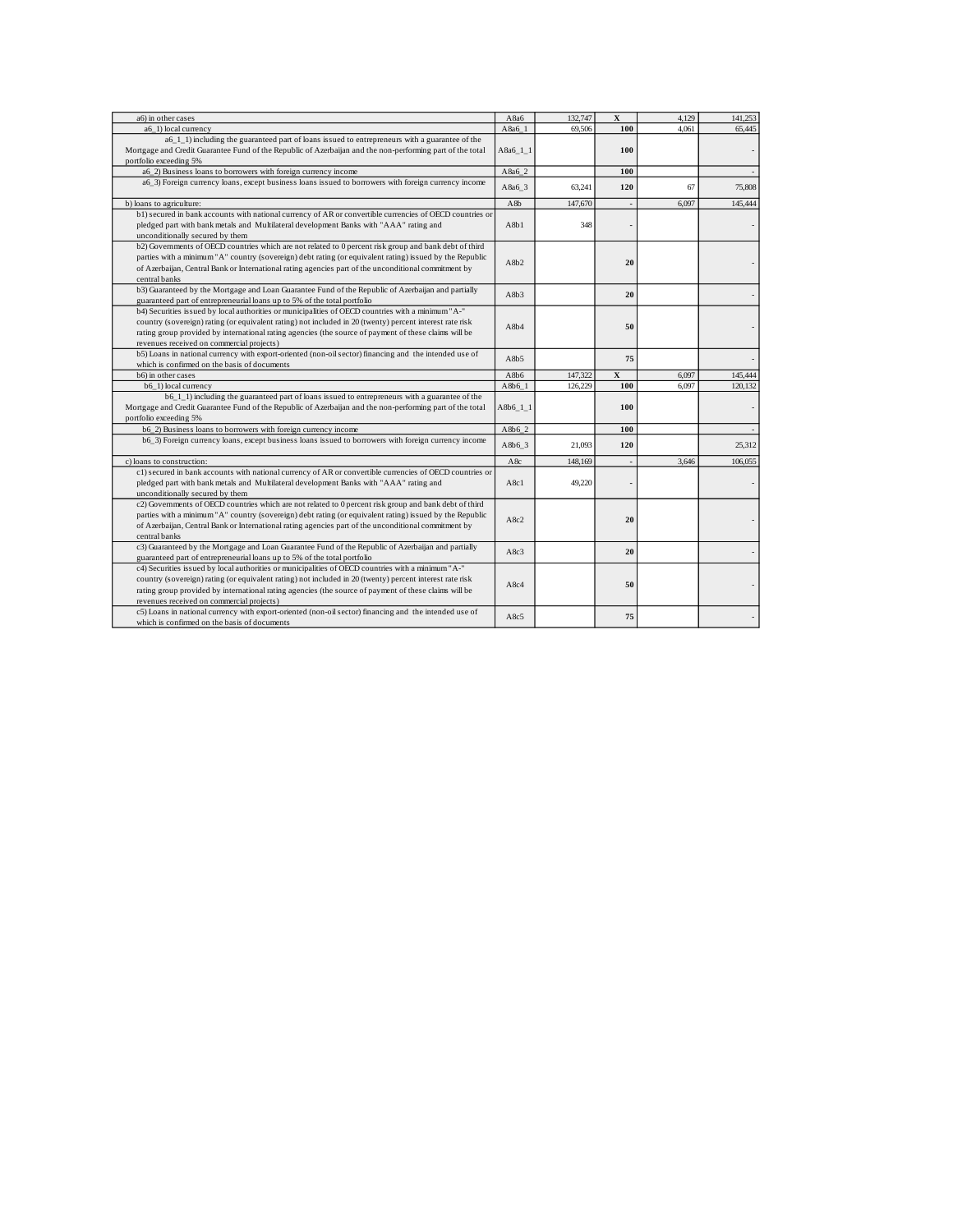| a6) in other cases                                                                                                                                                                                                                                                                                                                                                   | A8a6        | 132,747 | $\mathbf{x}$            | 4,129 | 141,253 |
|----------------------------------------------------------------------------------------------------------------------------------------------------------------------------------------------------------------------------------------------------------------------------------------------------------------------------------------------------------------------|-------------|---------|-------------------------|-------|---------|
| a6 1) local currency                                                                                                                                                                                                                                                                                                                                                 | A8a6 1      | 69,506  | 100                     | 4.061 | 65,445  |
| a6 1 1) including the guaranteed part of loans issued to entrepreneurs with a guarantee of the<br>Mortgage and Credit Guarantee Fund of the Republic of Azerbaijan and the non-performing part of the total<br>portfolio exceeding 5%                                                                                                                                | A8a6 1 1    |         | 100                     |       |         |
| a6 2) Business loans to borrowers with foreign currency income                                                                                                                                                                                                                                                                                                       | A8a6_2      |         | 100                     |       |         |
| a6_3) Foreign currency loans, except business loans issued to borrowers with foreign currency income                                                                                                                                                                                                                                                                 | A8a6 3      | 63,241  | 120                     | 67    | 75,808  |
| b) loans to agriculture:                                                                                                                                                                                                                                                                                                                                             | A8b         | 147,670 |                         | 6,097 | 145,444 |
| b1) secured in bank accounts with national currency of AR or convertible currencies of OECD countries or<br>pledged part with bank metals and Multilateral development Banks with "AAA" rating and<br>unconditionally secured by them                                                                                                                                | A8b1        | 348     |                         |       |         |
| b2) Governments of OECD countries which are not related to 0 percent risk group and bank debt of third<br>parties with a minimum "A" country (sovereign) debt rating (or equivalent rating) issued by the Republic<br>of Azerbaijan, Central Bank or International rating agencies part of the unconditional commitment by<br>central banks                          | A8b2        |         | 20                      |       |         |
| b3) Guaranteed by the Mortgage and Loan Guarantee Fund of the Republic of Azerbaijan and partially<br>guaranteed part of entrepreneurial loans up to 5% of the total portfolio                                                                                                                                                                                       | A8b3        |         | 20                      |       |         |
| b4) Securities issued by local authorities or municipalities of OECD countries with a minimum "A-"<br>country (sovereign) rating (or equivalent rating) not included in 20 (twenty) percent interest rate risk<br>rating group provided by international rating agencies (the source of payment of these claims will be<br>revenues received on commercial projects) | A8b4        |         | 50                      |       |         |
| b5) Loans in national currency with export-oriented (non-oil sector) financing and the intended use of<br>which is confirmed on the basis of documents                                                                                                                                                                                                               | A8b5        |         | 75                      |       |         |
| b6) in other cases                                                                                                                                                                                                                                                                                                                                                   | A8b6        | 147,322 | $\overline{\mathbf{X}}$ | 6,097 | 145,444 |
| b6 1) local currency                                                                                                                                                                                                                                                                                                                                                 | A8b6 1      | 126,229 | 100                     | 6,097 | 120,132 |
| b6_1_1) including the guaranteed part of loans issued to entrepreneurs with a guarantee of the<br>Mortgage and Credit Guarantee Fund of the Republic of Azerbaijan and the non-performing part of the total<br>portfolio exceeding 5%                                                                                                                                | $A8b6_11_1$ |         | 100                     |       |         |
| b6_2) Business loans to borrowers with foreign currency income                                                                                                                                                                                                                                                                                                       | $A8b6_2$    |         | 100                     |       |         |
| b6_3) Foreign currency loans, except business loans issued to borrowers with foreign currency income                                                                                                                                                                                                                                                                 | A8b6 3      | 21,093  | 120                     |       | 25,312  |
| c) loans to construction:                                                                                                                                                                                                                                                                                                                                            | A8c         | 148,169 |                         | 3.646 | 106,055 |
| c1) secured in bank accounts with national currency of AR or convertible currencies of OECD countries or<br>pledged part with bank metals and Multilateral development Banks with "AAA" rating and<br>unconditionally secured by them                                                                                                                                | A8c1        | 49,220  |                         |       |         |
| c2) Governments of OECD countries which are not related to 0 percent risk group and bank debt of third<br>parties with a minimum "A" country (sovereign) debt rating (or equivalent rating) issued by the Republic<br>of Azerbaijan, Central Bank or International rating agencies part of the unconditional commitment by<br>central banks                          | A8c2        |         | 20                      |       |         |
| c3) Guaranteed by the Mortgage and Loan Guarantee Fund of the Republic of Azerbaijan and partially<br>guaranteed part of entrepreneurial loans up to 5% of the total portfolio                                                                                                                                                                                       | A8c3        |         | 20                      |       |         |
| c4) Securities issued by local authorities or municipalities of OECD countries with a minimum "A-"<br>country (sovereign) rating (or equivalent rating) not included in 20 (twenty) percent interest rate risk<br>rating group provided by international rating agencies (the source of payment of these claims will be<br>revenues received on commercial projects) | A8c4        |         | 50                      |       |         |
| c5) Loans in national currency with export-oriented (non-oil sector) financing and the intended use of<br>which is confirmed on the basis of documents                                                                                                                                                                                                               | A8c5        |         | 75                      |       |         |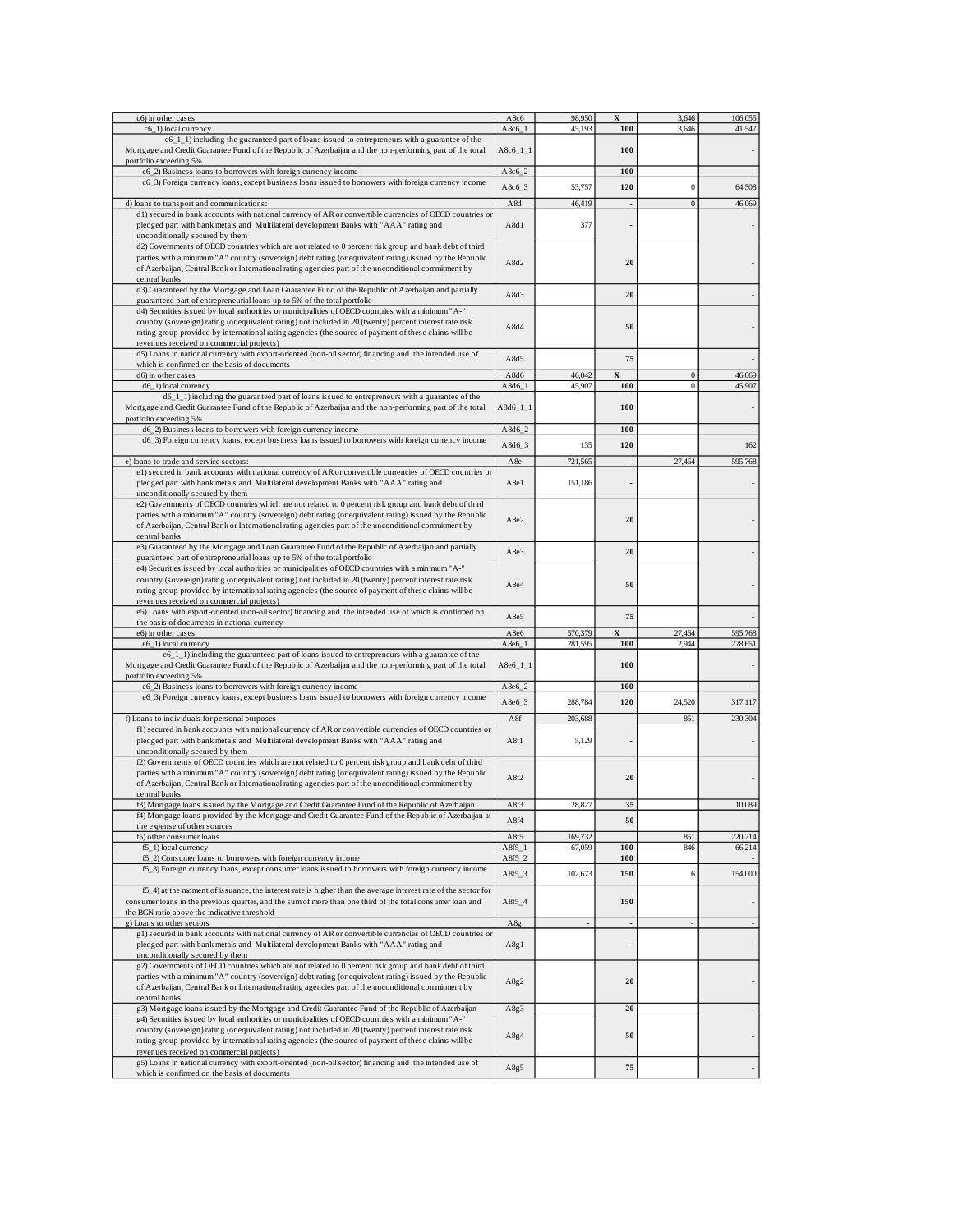| c6) in other cases                                                                                                                                                                                                                                                                                                                                                   | A8c6               | 98,950  | $\mathbf X$    | 3,646            | 106,055                  |
|----------------------------------------------------------------------------------------------------------------------------------------------------------------------------------------------------------------------------------------------------------------------------------------------------------------------------------------------------------------------|--------------------|---------|----------------|------------------|--------------------------|
| c6_1) local currency                                                                                                                                                                                                                                                                                                                                                 | A8c6 1             | 45.193  | 100            | 3.646            | 41,547                   |
| c6_1_1) including the guaranteed part of loans issued to entrepreneurs with a guarantee of the<br>Mortgage and Credit Guarantee Fund of the Republic of Azerbaijan and the non-performing part of the total                                                                                                                                                          | $A8c6_11_1$        |         | 100            |                  |                          |
| portfolio exceeding 5%                                                                                                                                                                                                                                                                                                                                               |                    |         |                |                  |                          |
| c6_2) Business loans to borrowers with foreign currency income                                                                                                                                                                                                                                                                                                       | $A8c6_2$           |         | 100            |                  | $\overline{\phantom{a}}$ |
| c6_3) Foreign currency loans, except business loans issued to borrowers with foreign currency income                                                                                                                                                                                                                                                                 | $A8c6_3$           | 53,757  | 120            | $\overline{0}$   | 64,508                   |
|                                                                                                                                                                                                                                                                                                                                                                      |                    |         |                |                  |                          |
| d) loans to transport and communications:                                                                                                                                                                                                                                                                                                                            | A8d                | 46,419  |                | $\overline{0}$   | 46,069                   |
| d1) secured in bank accounts with national currency of AR or convertible currencies of OECD countries or<br>pledged part with bank metals and Multilateral development Banks with "AAA" rating and                                                                                                                                                                   | A8d1               | 377     |                |                  |                          |
| unconditionally secured by them                                                                                                                                                                                                                                                                                                                                      |                    |         |                |                  |                          |
| d2) Governments of OECD countries which are not related to 0 percent risk group and bank debt of third<br>parties with a minimum "A" country (sovereign) debt rating (or equivalent rating) issued by the Republic<br>of Azerbaijan, Central Bank or International rating agencies part of the unconditional commitment by<br>central banks                          | A8d2               |         | 20             |                  |                          |
| d3) Guaranteed by the Mortgage and Loan Guarantee Fund of the Republic of Azerbaijan and partially<br>guaranteed part of entrepreneurial loans up to 5% of the total portfolio                                                                                                                                                                                       | A8d3               |         | 20             |                  |                          |
| d4) Securities issued by local authorities or municipalities of OECD countries with a minimum "A-"<br>country (sovereign) rating (or equivalent rating) not included in 20 (twenty) percent interest rate risk<br>rating group provided by international rating agencies (the source of payment of these claims will be<br>revenues received on commercial projects) | A8d4               |         | 50             |                  |                          |
| d5) Loans in national currency with export-oriented (non-oil sector) financing and the intended use of<br>which is confirmed on the basis of documents                                                                                                                                                                                                               | A8d5               |         | 75             |                  | $\overline{\phantom{a}}$ |
| d6) in other cases                                                                                                                                                                                                                                                                                                                                                   | A8d6               | 46,042  | $\mathbf x$    | $\boldsymbol{0}$ | 46,069                   |
| d6_1) local currency                                                                                                                                                                                                                                                                                                                                                 | A8d6_1             | 45,907  | 100            | $\boldsymbol{0}$ | 45,907                   |
| d6_1_1) including the guaranteed part of loans issued to entrepreneurs with a guarantee of the<br>Mortgage and Credit Guarantee Fund of the Republic of Azerbaijan and the non-performing part of the total<br>portfolio exceeding 5%                                                                                                                                | $A8d6_11_1$        |         | 100            |                  |                          |
| d6_2) Business loans to borrowers with foreign currency income                                                                                                                                                                                                                                                                                                       | A8d6_2             |         | 100            |                  |                          |
| d6_3) Foreign currency loans, except business loans issued to borrowers with foreign currency income                                                                                                                                                                                                                                                                 |                    |         |                |                  |                          |
|                                                                                                                                                                                                                                                                                                                                                                      | A8d6_3             | 135     | 120            |                  | 162                      |
| e) loans to trade and service sectors:                                                                                                                                                                                                                                                                                                                               | A8e                | 721,565 | $\overline{a}$ | 27,464           | 595,768                  |
| e1) secured in bank accounts with national currency of AR or convertible currencies of OECD countries or                                                                                                                                                                                                                                                             |                    |         |                |                  |                          |
| pledged part with bank metals and Multilateral development Banks with "AAA" rating and<br>unconditionally secured by them                                                                                                                                                                                                                                            | A8e1               | 151,186 |                |                  |                          |
| e2) Governments of OECD countries which are not related to 0 percent risk group and bank debt of third<br>parties with a minimum "A" country (sovereign) debt rating (or equivalent rating) issued by the Republic<br>of Azerbaijan, Central Bank or International rating agencies part of the unconditional commitment by<br>central banks                          | A8e2               |         | 20             |                  |                          |
| e3) Guaranteed by the Mortgage and Loan Guarantee Fund of the Republic of Azerbaijan and partially                                                                                                                                                                                                                                                                   |                    |         |                |                  |                          |
| guaranteed part of entrepreneurial loans up to 5% of the total portfolio                                                                                                                                                                                                                                                                                             | A8e3               |         | 20             |                  |                          |
| e4) Securities issued by local authorities or municipalities of OECD countries with a minimum "A-"<br>country (sovereign) rating (or equivalent rating) not included in 20 (twenty) percent interest rate risk<br>rating group provided by international rating agencies (the source of payment of these claims will be                                              | A8e4               |         | 50             |                  |                          |
| revenues received on commercial projects)                                                                                                                                                                                                                                                                                                                            |                    |         |                |                  |                          |
| e5) Loans with export-oriented (non-oil sector) financing and the intended use of which is confirmed on                                                                                                                                                                                                                                                              | A8e5               |         | 75             |                  |                          |
| the basis of documents in national currency                                                                                                                                                                                                                                                                                                                          |                    |         |                |                  |                          |
| e6) in other cases                                                                                                                                                                                                                                                                                                                                                   | A8e6               | 570,379 | X              | 27,464<br>2.944  | 595,768                  |
| e6_1) local currency                                                                                                                                                                                                                                                                                                                                                 | $A8e6_1$           | 281,595 | 100            |                  | 278,651                  |
| $e6_1$ ] including the guaranteed part of loans issued to entrepreneurs with a guarantee of the<br>Mortgage and Credit Guarantee Fund of the Republic of Azerbaijan and the non-performing part of the total<br>portfolio exceeding 5%                                                                                                                               | $A8e6_11_1$        |         | 100            |                  |                          |
| e6_2) Business loans to borrowers with foreign currency income                                                                                                                                                                                                                                                                                                       | A8e6_2             |         | 100            |                  |                          |
| e6_3) Foreign currency loans, except business loans issued to borrowers with foreign currency income                                                                                                                                                                                                                                                                 |                    |         |                |                  |                          |
|                                                                                                                                                                                                                                                                                                                                                                      | A8e6_3             | 288,784 | 120            | 24,520           | 317,117                  |
| f) Loans to individuals for personal purposes                                                                                                                                                                                                                                                                                                                        | A8f                | 203,688 |                | 851              | 230,304                  |
| f1) secured in bank accounts with national currency of AR or convertible currencies of OECD countries or<br>pledged part with bank metals and Multilateral development Banks with "AAA" rating and<br>unconditionally secured by them                                                                                                                                | A8f1               | 5,129   |                |                  |                          |
| f2) Governments of OECD countries which are not related to 0 percent risk group and bank debt of third<br>parties with a minimum "A" country (sovereign) debt rating (or equivalent rating) issued by the Republic<br>of Azerbaijan, Central Bank or International rating agencies part of the unconditional commitment by<br>central banks                          | A8f2               |         | 20             |                  |                          |
| f3) Mortgage loans issued by the Mortgage and Credit Guarantee Fund of the Republic of Azerbaijan                                                                                                                                                                                                                                                                    | $A$ <sub>8f3</sub> | 28.82°  | 35             |                  | 10.089                   |
| f4) Mortgage loans provided by the Mortgage and Credit Guarantee Fund of the Republic of Azerbaijan at                                                                                                                                                                                                                                                               | A8f4               |         | 50             |                  |                          |
| the expense of other sources                                                                                                                                                                                                                                                                                                                                         |                    |         |                |                  |                          |
| f5) other consumer loans                                                                                                                                                                                                                                                                                                                                             | A8f5               | 169,732 |                | 851              | 220,214                  |
| f5_1) local currency                                                                                                                                                                                                                                                                                                                                                 | A8f51              | 67,059  | 100            | 846              | 66,214                   |
| f5_2) Consumer loans to borrowers with foreign currency income                                                                                                                                                                                                                                                                                                       | $A8f5_2$           |         | 100            |                  |                          |
| f5_3) Foreign currency loans, except consumer loans issued to borrowers with foreign currency income                                                                                                                                                                                                                                                                 | $A8f5_3$           | 102,673 | 150            | 6                | 154,000                  |
| f5_4) at the moment of issuance, the interest rate is higher than the average interest rate of the sector for<br>consumer loans in the previous quarter, and the sum of more than one third of the total consumer loan and<br>the BGN ratio above the indicative threshold                                                                                           | $A8f5_4$           |         | 150            |                  |                          |
| g) Loans to other sectors                                                                                                                                                                                                                                                                                                                                            | A8g                |         |                |                  | $\overline{\phantom{a}}$ |
| g1) secured in bank accounts with national currency of AR or convertible currencies of OECD countries or<br>pledged part with bank metals and Multilateral development Banks with "AAA" rating and<br>unconditionally secured by them                                                                                                                                | A8g1               |         |                |                  | $\frac{1}{2}$            |
| g2) Governments of OECD countries which are not related to 0 percent risk group and bank debt of third<br>parties with a minimum "A" country (sovereign) debt rating (or equivalent rating) issued by the Republic<br>of Azerbaijan, Central Bank or International rating agencies part of the unconditional commitment by<br>central banks                          | A8g2               |         | 20             |                  | $\overline{\phantom{a}}$ |
| g3) Mortgage loans issued by the Mortgage and Credit Guarantee Fund of the Republic of Azerbaijan                                                                                                                                                                                                                                                                    | A8g3               |         | 20             |                  | $\overline{\phantom{a}}$ |
| g4) Securities issued by local authorities or municipalities of OECD countries with a minimum "A-"<br>country (sovereign) rating (or equivalent rating) not included in 20 (twenty) percent interest rate risk<br>rating group provided by international rating agencies (the source of payment of these claims will be<br>revenues received on commercial projects) | A8g4               |         | 50             |                  | $\overline{\phantom{a}}$ |
| g5) Loans in national currency with export-oriented (non-oil sector) financing and the intended use of<br>which is confirmed on the basis of documents                                                                                                                                                                                                               | A8g5               |         | 75             |                  |                          |
|                                                                                                                                                                                                                                                                                                                                                                      |                    |         |                |                  |                          |